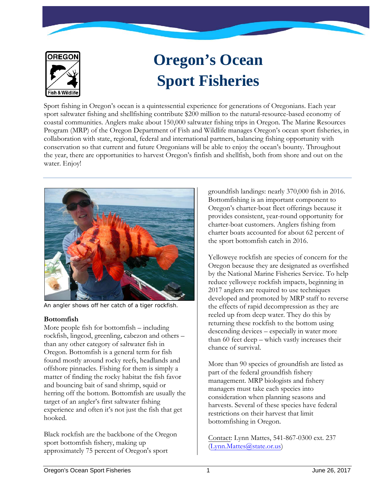

# **Oregon's Ocean Sport Fisheries**

Sport fishing in Oregon's ocean is a quintessential experience for generations of Oregonians. Each year sport saltwater fishing and shellfishing contribute \$200 million to the natural-resource-based economy of coastal communities. Anglers make about 150,000 saltwater fishing trips in Oregon. The Marine Resources Program (MRP) of the Oregon Department of Fish and Wildlife manages Oregon's ocean sport fisheries, in collaboration with state, regional, federal and international partners, balancing fishing opportunity with conservation so that current and future Oregonians will be able to enjoy the ocean's bounty. Throughout the year, there are opportunities to harvest Oregon's finfish and shellfish, both from shore and out on the water. Enjoy!



An angler shows off her catch of a tiger rockfish.

# **Bottomfish**

More people fish for bottomfish – including rockfish, lingcod, greenling, cabezon and others – than any other category of saltwater fish in Oregon. Bottomfish is a general term for fish found mostly around rocky reefs, headlands and offshore pinnacles. Fishing for them is simply a matter of finding the rocky habitat the fish favor and bouncing bait of sand shrimp, squid or herring off the bottom. Bottomfish are usually the target of an angler's first saltwater fishing experience and often it's not just the fish that get hooked.

Black rockfish are the backbone of the Oregon sport bottomfish fishery, making up approximately 75 percent of Oregon's sport

groundfish landings: nearly 370,000 fish in 2016. Bottomfishing is an important component to Oregon's charter-boat fleet offerings because it provides consistent, year-round opportunity for charter-boat customers. Anglers fishing from charter boats accounted for about 62 percent of the sport bottomfish catch in 2016.

Yelloweye rockfish are species of concern for the Oregon because they are designated as overfished by the National Marine Fisheries Service. To help reduce yelloweye rockfish impacts, beginning in 2017 anglers are required to use techniques developed and promoted by MRP staff to reverse the effects of rapid decompression as they are reeled up from deep water. They do this by returning these rockfish to the bottom using descending devices – especially in water more than 60 feet deep – which vastly increases their chance of survival.

More than 90 species of groundfish are listed as part of the federal groundfish fishery management. MRP biologists and fishery managers must take each species into consideration when planning seasons and harvests. Several of these species have federal restrictions on their harvest that limit bottomfishing in Oregon.

Contact: Lynn Mattes, 541-867-0300 ext. 237 [\(Lynn.Mattes@state.or.us\)](mailto:Lynn.Mattes@state.or.us)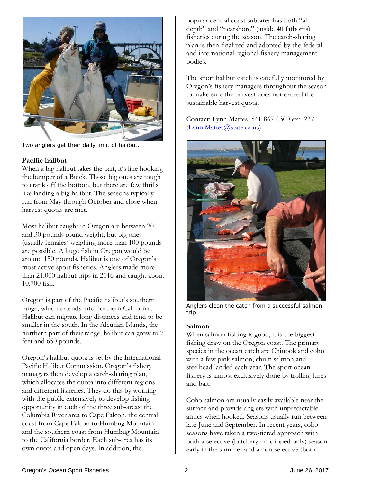

Two anglers get their daily limit of halibut.

## **Pacific halibut**

When a big halibut takes the bait, it's like hooking the bumper of a Buick. Those big ones are tough to crank off the bottom, but there are few thrills like landing a big halibut. The seasons typically run from May through October and close when harvest quotas are met.

Most halibut caught in Oregon are between 20 and 30 pounds round weight, but big ones (usually females) weighing more than 100 pounds are possible. A huge fish in Oregon would be around 150 pounds. Halibut is one of Oregon's most active sport fisheries. Anglers made more than 21,000 halibut trips in 2016 and caught about 10,700 fish.

Oregon is part of the Pacific halibut's southern range, which extends into northern California. Halibut can migrate long distances and tend to be smaller in the south. In the Aleutian Islands, the northern part of their range, halibut can grow to 7 feet and 650 pounds.

Oregon's halibut quota is set by the International Pacific Halibut Commission. Oregon's fishery managers then develop a catch-sharing plan, which allocates the quota into different regions and different fisheries. They do this by working with the public extensively to develop fishing opportunity in each of the three sub-areas: the Columbia River area to Cape Falcon, the central coast from Cape Falcon to Humbug Mountain and the southern coast from Humbug Mountain to the California border. Each sub-area has its own quota and open days. In addition, the

popular central coast sub-area has both "alldepth" and "nearshore" (inside 40 fathoms) fisheries during the season. The catch-sharing plan is then finalized and adopted by the federal and international regional fishery management bodies.

The sport halibut catch is carefully monitored by Oregon's fishery managers throughout the season to make sure the harvest does not exceed the sustainable harvest quota.

Contact: Lynn Mattes, 541-867-0300 ext. 237 [\(Lynn.Mattes@state.or.us\)](mailto:Lynn.Mattes@state.or.us)



Anglers clean the catch from a successful salmon trip.

## **Salmon**

When salmon fishing is good, it is the biggest fishing draw on the Oregon coast. The primary species in the ocean catch are Chinook and coho with a few pink salmon, chum salmon and steelhead landed each year. The sport ocean fishery is almost exclusively done by trolling lures and bait.

Coho salmon are usually easily available near the surface and provide anglers with unpredictable antics when hooked. Seasons usually run between late-June and September. In recent years, coho seasons have taken a two-tiered approach with both a selective (hatchery fin-clipped only) season early in the summer and a non-selective (both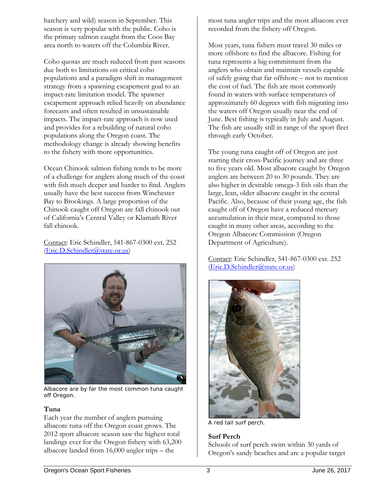hatchery and wild) season in September. This season is very popular with the public. Coho is the primary salmon caught from the Coos Bay area north to waters off the Columbia River.

Coho quotas are much reduced from past seasons due both to limitations on critical coho populations and a paradigm shift in management strategy from a spawning escapement goal to an impact-rate limitation model. The spawner escapement approach relied heavily on abundance forecasts and often resulted in unsustainable impacts. The impact-rate approach is now used and provides for a rebuilding of natural coho populations along the Oregon coast. The methodology change is already showing benefits to the fishery with more opportunities.

Ocean Chinook salmon fishing tends to be more of a challenge for anglers along much of the coast with fish much deeper and harder to find. Anglers usually have the best success from Winchester Bay to Brookings. A large proportion of the Chinook caught off Oregon are fall chinook out of California's Central Valley or Klamath River fall chinook.

Contact: Eric Schindler, 541-867-0300 ext. 252 [\(Eric.D.Schindler@state.or.us\)](mailto:Eric.D.Schindler@state.or.us)



Albacore are by far the most common tuna caught off Oregon.

## **Tuna**

Each year the number of anglers pursuing albacore tuna off the Oregon coast grows. The 2012 sport albacore season saw the highest total landings ever for the Oregon fishery with 63,200 albacore landed from 16,000 angler trips – the

most tuna angler trips and the most albacore ever recorded from the fishery off Oregon.

Most years, tuna fishers must travel 30 miles or more offshore to find the albacore. Fishing for tuna represents a big commitment from the anglers who obtain and maintain vessels capable of safely going that far offshore – not to mention the cost of fuel. The fish are most commonly found in waters with surface temperatures of approximately 60 degrees with fish migrating into the waters off Oregon usually near the end of June. Best fishing is typically in July and August. The fish are usually still in range of the sport fleet through early October.

The young tuna caught off of Oregon are just starting their cross-Pacific journey and are three to five years old. Most albacore caught by Oregon anglers are between 20 to 30 pounds. They are also higher in desirable omega-3 fish oils than the large, lean, older albacore caught in the central Pacific. Also, because of their young age, the fish caught off of Oregon have a reduced mercury accumulation in their meat, compared to those caught in many other areas, according to the Oregon Albacore Commission (Oregon Department of Agriculture).

Contact: Eric Schindler, 541-867-0300 ext. 252 [\(Eric.D.Schindler@state.or.us\)](mailto:Eric.D.Schindler@state.or.us)



A red tail surf perch.

# **Surf Perch**

Schools of surf perch swim within 30 yards of Oregon's sandy beaches and are a popular target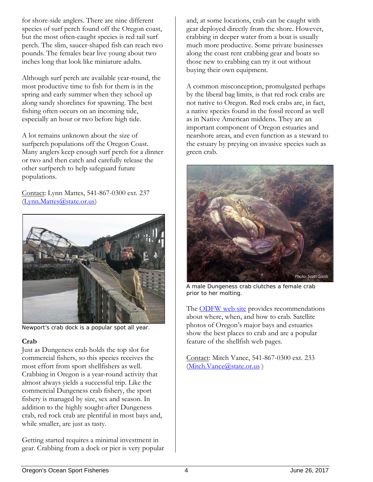for shore-side anglers. There are nine different species of surf perch found off the Oregon coast, but the most often-caught species is red tail surf perch. The slim, saucer-shaped fish can reach two pounds. The females bear live young about two inches long that look like miniature adults.

Although surf perch are available year-round, the most productive time to fish for them is in the spring and early summer when they school up along sandy shorelines for spawning. The best fishing often occurs on an incoming tide, especially an hour or two before high tide.

A lot remains unknown about the size of surfperch populations off the Oregon Coast. Many anglers keep enough surf perch for a dinner or two and then catch and carefully release the other surfperch to help safeguard future populations.

Contact: Lynn Mattes, 541-867-0300 ext. 237 [\(Lynn.Mattes@state.or.us\)](mailto:Lynn.Mattes@state.or.us)



Newport's crab dock is a popular spot all year.

## **Crab**

Just as Dungeness crab holds the top slot for commercial fishers, so this species receives the most effort from sport shellfishers as well. Crabbing in Oregon is a year-round activity that almost always yields a successful trip. Like the commercial Dungeness crab fishery, the sport fishery is managed by size, sex and season. In addition to the highly sought-after Dungeness crab, red rock crab are plentiful in most bays and, while smaller, are just as tasty.

Getting started requires a minimal investment in gear. Crabbing from a dock or pier is very popular and, at some locations, crab can be caught with gear deployed directly from the shore. However, crabbing in deeper water from a boat is usually much more productive. Some private businesses along the coast rent crabbing gear and boats so those new to crabbing can try it out without buying their own equipment.

A common misconception, promulgated perhaps by the liberal bag limits, is that red rock crabs are not native to Oregon. Red rock crabs are, in fact, a native species found in the fossil record as well as in Native American middens. They are an important component of Oregon estuaries and nearshore areas, and even function as a steward to the estuary by preying on invasive species such as green crab.



A male Dungeness crab clutches a female crab prior to her molting.

The **ODFW** web site provides recommendations about where, when, and how to crab. Satellite photos of Oregon's major bays and estuaries show the best places to crab and are a popular feature of the shellfish web pages.

Contact: Mitch Vance, 541-867-0300 ext. 233 (Mitch.Vance@state.or.us)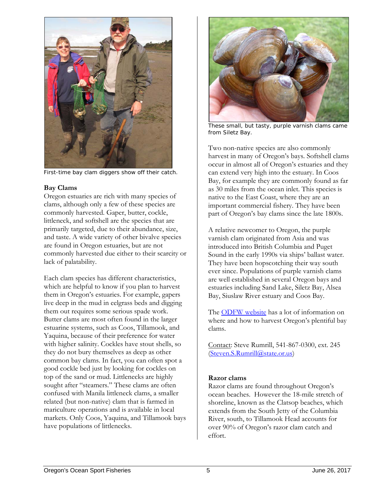

First-time bay clam diggers show off their catch.

## **Bay Clams**

Oregon estuaries are rich with many species of clams, although only a few of these species are commonly harvested. Gaper, butter, cockle, littleneck, and softshell are the species that are primarily targeted, due to their abundance, size, and taste. A wide variety of other bivalve species are found in Oregon estuaries, but are not commonly harvested due either to their scarcity or lack of palatability.

Each clam species has different characteristics, which are helpful to know if you plan to harvest them in Oregon's estuaries. For example, gapers live deep in the mud in eelgrass beds and digging them out requires some serious spade work. Butter clams are most often found in the larger estuarine systems, such as Coos, Tillamook, and Yaquina, because of their preference for water with higher salinity. Cockles have stout shells, so they do not bury themselves as deep as other common bay clams. In fact, you can often spot a good cockle bed just by looking for cockles on top of the sand or mud. Littlenecks are highly sought after "steamers." These clams are often confused with Manila littleneck clams, a smaller related (but non-native) clam that is farmed in mariculture operations and is available in local markets. Only Coos, Yaquina, and Tillamook bays have populations of littlenecks.



These small, but tasty, purple varnish clams came from Siletz Bay.

Two non-native species are also commonly harvest in many of Oregon's bays. Softshell clams occur in almost all of Oregon's estuaries and they can extend very high into the estuary. In Coos Bay, for example they are commonly found as far as 30 miles from the ocean inlet. This species is native to the East Coast, where they are an important commercial fishery. They have been part of Oregon's bay clams since the late 1800s.

A relative newcomer to Oregon, the purple varnish clam originated from Asia and was introduced into British Columbia and Puget Sound in the early 1990s via ships' ballast water. They have been hopscotching their way south ever since. Populations of purple varnish clams are well established in several Oregon bays and estuaries including Sand Lake, Siletz Bay, Alsea Bay, Siuslaw River estuary and Coos Bay.

The [ODFW website](http://www.dfw.state.or.us/MRP/shellfish/bayclams/index.asp) has a lot of information on where and how to harvest Oregon's plentiful bay clams.

Contact: Steve Rumrill, 541-867-0300, ext. 245 [\(Steven.S.Rumrill@state.or.us\)](mailto:Steven.S.Rumrill@state.or.us)

## **Razor clams**

Razor clams are found throughout Oregon's ocean beaches. However the 18-mile stretch of shoreline, known as the Clatsop beaches, which extends from the South Jetty of the Columbia River, south, to Tillamook Head accounts for over 90% of Oregon's razor clam catch and effort.